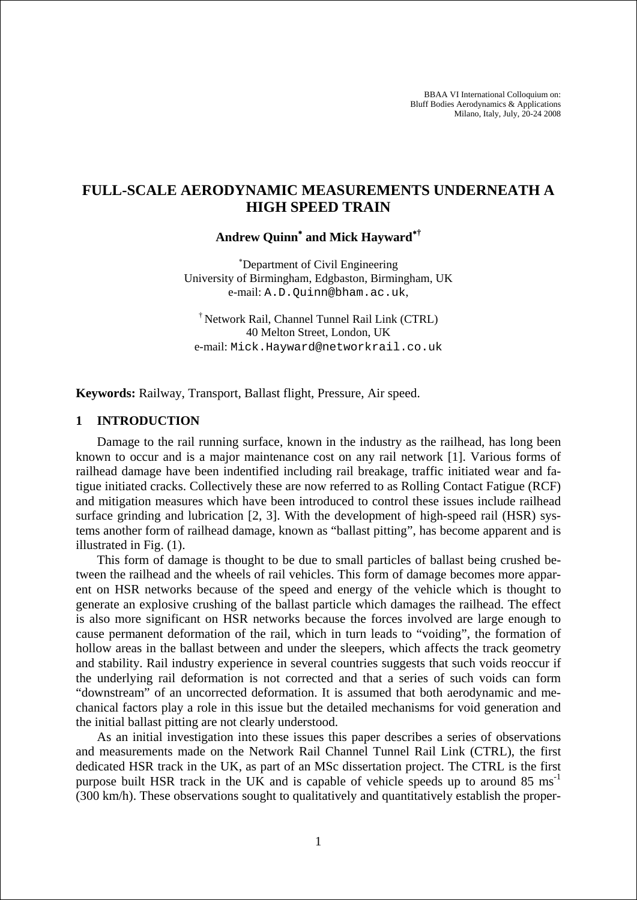BBAA VI International Colloquium on: Bluff Bodies Aerodynamics & Applications Milano, Italy, July, 20-24 2008

# **FULL-SCALE AERODYNAMIC MEASUREMENTS UNDERNEATH A HIGH SPEED TRAIN**

**Andrew Quinn**<sup>∗</sup>  **and Mick Hayward**<sup>∗</sup>**†**

∗ Department of Civil Engineering University of Birmingham, Edgbaston, Birmingham, UK e-mail: A.D.Quinn@bham.ac.uk,

† Network Rail, Channel Tunnel Rail Link (CTRL) 40 Melton Street, London, UK e-mail: Mick.Hayward@networkrail.co.uk

**Keywords:** Railway, Transport, Ballast flight, Pressure, Air speed.

## **1 INTRODUCTION**

Damage to the rail running surface, known in the industry as the railhead, has long been known to occur and is a major maintenance cost on any rail network [1]. Various forms of railhead damage have been indentified including rail breakage, traffic initiated wear and fatigue initiated cracks. Collectively these are now referred to as Rolling Contact Fatigue (RCF) and mitigation measures which have been introduced to control these issues include railhead surface grinding and lubrication [2, 3]. With the development of high-speed rail (HSR) systems another form of railhead damage, known as "ballast pitting", has become apparent and is illustrated in Fig. (1).

This form of damage is thought to be due to small particles of ballast being crushed between the railhead and the wheels of rail vehicles. This form of damage becomes more apparent on HSR networks because of the speed and energy of the vehicle which is thought to generate an explosive crushing of the ballast particle which damages the railhead. The effect is also more significant on HSR networks because the forces involved are large enough to cause permanent deformation of the rail, which in turn leads to "voiding", the formation of hollow areas in the ballast between and under the sleepers, which affects the track geometry and stability. Rail industry experience in several countries suggests that such voids reoccur if the underlying rail deformation is not corrected and that a series of such voids can form "downstream" of an uncorrected deformation. It is assumed that both aerodynamic and mechanical factors play a role in this issue but the detailed mechanisms for void generation and the initial ballast pitting are not clearly understood.

As an initial investigation into these issues this paper describes a series of observations and measurements made on the Network Rail Channel Tunnel Rail Link (CTRL), the first dedicated HSR track in the UK, as part of an MSc dissertation project. The CTRL is the first purpose built HSR track in the UK and is capable of vehicle speeds up to around  $85 \text{ ms}^{-1}$ (300 km/h). These observations sought to qualitatively and quantitatively establish the proper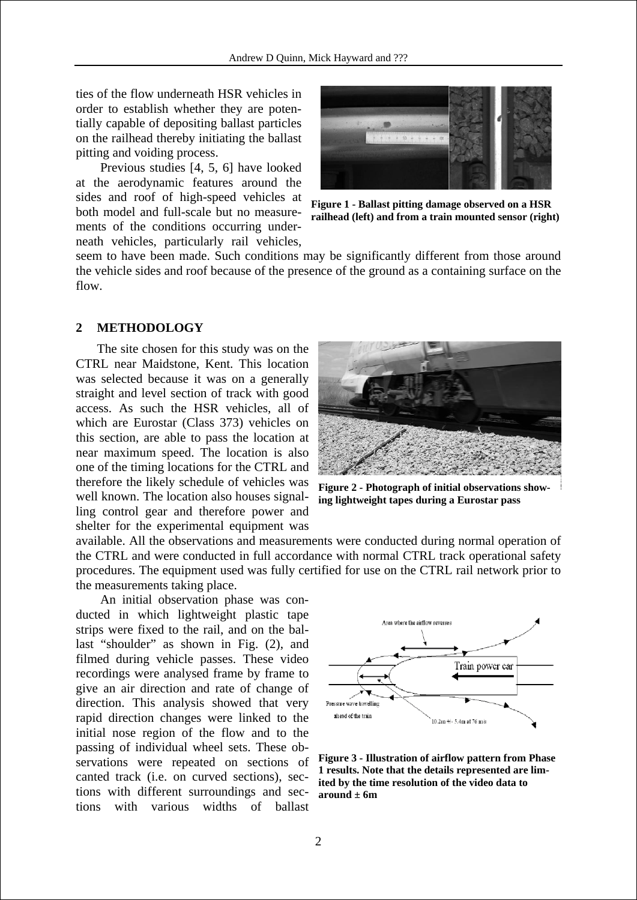ties of the flow underneath HSR vehicles in order to establish whether they are potentially capable of depositing ballast particles on the railhead thereby initiating the ballast pitting and voiding process.

 Previous studies [4, 5, 6] have looked at the aerodynamic features around the sides and roof of high-speed vehicles at both model and full-scale but no measurements of the conditions occurring underneath vehicles, particularly rail vehicles,



**F igure 1 - Ballast pitting damage observed on a HSR r ailhead (left) and from a train mounted sensor (right)**

seem to have been made. Such conditions may be significantly different from those around the vehicle sides and roof because of the presence of the ground as a containing surface o n the flow.

#### **2 METHODOLOGY**

The site chosen for this study was on the CTRL near Maidstone, Kent. This location was selected because it was on a generally straight and level section of track with good access. As such the HSR vehicles, all of which are Eurostar (Class 373) vehicles on this section, are able to pass the location at near maximum speed. The location is also one of the timing locations for the CTRL and therefore the likely schedule of vehicles was well known. The location also houses signalling control gear and therefore power and shelter for the experimental equipment was



**Figure 2 - Photograph of initial observations showing lightweight tapes during a Eurostar pass** 

procedures. The equipment used was fully certified for use on the CTRL rail network prior to the measurements taking place. available. All the observations and measurements were conducted during normal operation of the CTRL and were conducted in full accordance with normal CTRL track operational safety

 An initial observation phase was conducted in which lightweight plastic tape strips were fixed to the rail, and on the ballast "shoulder" as shown in Fig. (2), and filmed during vehicle passes. These video recordings were analysed frame by frame to give an air direction and rate of change of direction. This analysis showed that very rapid direction changes were linked to the initial nose region of the flow and to the passing of individual wheel sets. These observations were repeated on sections of canted track (i.e. on curved sections), sections with different surroundings and sections with various widths of ballast



**Figure 3 - Illustration of airflow pattern from Phase 1 results. Note that the details represented are limited by the time resolution of the video data to around ± 6m**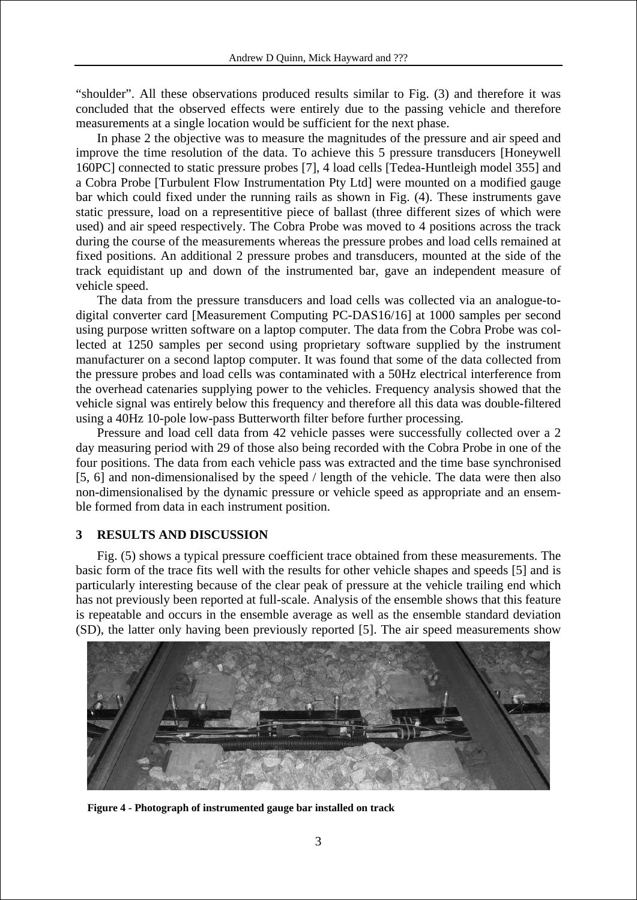"shoulder". All these observations produced results similar to Fig. (3) and therefore it was concluded that the observed effects were entirely due to the passing vehicle and therefore mea surements at a single location would be sufficient for the next phase.

track equidistant up and down of the instrumented bar, gave an independent measure of veh icle speed. In phase 2 the objective was to measure the magnitudes of the pressure and air speed and improve the time resolution of the data. To achieve this 5 pressure transducers [Honeywell 160PC] connected to static pressure probes [7], 4 load cells [Tedea-Huntleigh model 355] and a Cobra Probe [Turbulent Flow Instrumentation Pty Ltd] were mounted on a modified gauge bar which could fixed under the running rails as shown in Fig. (4). These instruments gave static pressure, load on a representitive piece of ballast (three different sizes of which were used) and air speed respectively. The Cobra Probe was moved to 4 positions across the track during the course of the measurements whereas the pressure probes and load cells remained at fixed positions. An additional 2 pressure probes and transducers, mounted at the side of the

vehicle signal was entirely below this frequency and therefore all this data was double-filtered usin g a 40Hz 10-pole low-pass Butterworth filter before further processing. The data from the pressure transducers and load cells was collected via an analogue-todigital converter card [Measurement Computing PC-DAS16/16] at 1000 samples per second using purpose written software on a laptop computer. The data from the Cobra Probe was collected at 1250 samples per second using proprietary software supplied by the instrument manufacturer on a second laptop computer. It was found that some of the data collected from the pressure probes and load cells was contaminated with a 50Hz electrical interference from the overhead catenaries supplying power to the vehicles. Frequency analysis showed that the

- non-dimensionalised by the dynamic pressure or vehicle speed as appropriate and an ensem ble formed from data in each instrument position. Pressure and load cell data from 42 vehicle passes were successfully collected over a 2 day measuring period with 29 of those also being recorded with the Cobra Probe in one of the four positions. The data from each vehicle pass was extracted and the time base synchronised [5, 6] and non-dimensionalised by the speed / length of the vehicle. The data were then also

#### **3 RESULTS AND DISCUSSION**

Fig. (5) shows a typical pressure coefficient trace obtained from these measurements. The basic form of the trace fits well with the results for other vehicle shapes and speeds [5] and is particularly interesting because of the clear peak of pressure at the vehicle trailing end which has not previously been reported at full-scale. Analysis of the ensemble shows that this feature is repeatable and occurs in the ensemble average as well as the ensemble standard deviation (SD), the latter only having been previously reported [5]. The air speed measurements show



**Figure 4 - Photograph of instrumented gauge bar installed on track**